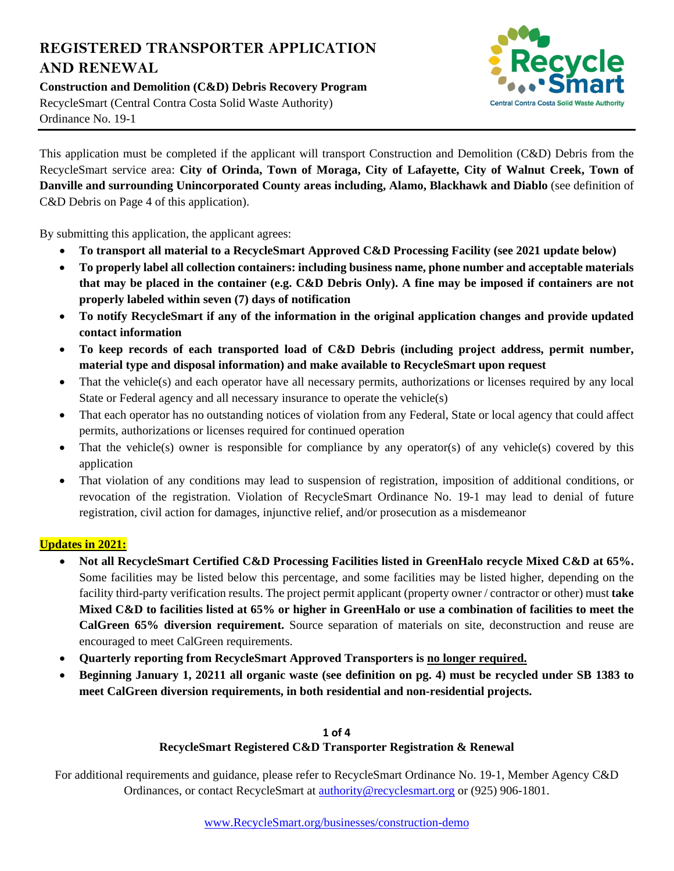# **REGISTERED TRANSPORTER APPLICATION AND RENEWAL**

**Construction and Demolition (C&D) Debris Recovery Program** RecycleSmart (Central Contra Costa Solid Waste Authority) Ordinance No. 19-1



This application must be completed if the applicant will transport Construction and Demolition (C&D) Debris from the RecycleSmart service area: **City of Orinda, Town of Moraga, City of Lafayette, City of Walnut Creek, Town of Danville and surrounding Unincorporated County areas including, Alamo, Blackhawk and Diablo** (see definition of C&D Debris on Page 4 of this application).

By submitting this application, the applicant agrees:

- **To transport all material to a RecycleSmart Approved C&D Processing Facility (see 2021 update below)**
- **To properly label all collection containers: including business name, phone number and acceptable materials that may be placed in the container (e.g. C&D Debris Only). A fine may be imposed if containers are not properly labeled within seven (7) days of notification**
- **To notify RecycleSmart if any of the information in the original application changes and provide updated contact information**
- **To keep records of each transported load of C&D Debris (including project address, permit number, material type and disposal information) and make available to RecycleSmart upon request**
- That the vehicle(s) and each operator have all necessary permits, authorizations or licenses required by any local State or Federal agency and all necessary insurance to operate the vehicle(s)
- That each operator has no outstanding notices of violation from any Federal, State or local agency that could affect permits, authorizations or licenses required for continued operation
- That the vehicle(s) owner is responsible for compliance by any operator(s) of any vehicle(s) covered by this application
- That violation of any conditions may lead to suspension of registration, imposition of additional conditions, or revocation of the registration. Violation of RecycleSmart Ordinance No. 19-1 may lead to denial of future registration, civil action for damages, injunctive relief, and/or prosecution as a misdemeanor

### **Updates in 2021:**

- **Not all RecycleSmart Certified C&D Processing Facilities listed in GreenHalo recycle Mixed C&D at 65%.** Some facilities may be listed below this percentage, and some facilities may be listed higher, depending on the facility third-party verification results. The project permit applicant (property owner / contractor or other) must **take Mixed C&D to facilities listed at 65% or higher in GreenHalo or use a combination of facilities to meet the CalGreen 65% diversion requirement.** Source separation of materials on site, deconstruction and reuse are encouraged to meet CalGreen requirements.
- **Quarterly reporting from RecycleSmart Approved Transporters is no longer required.**
- **Beginning January 1, 20211 all organic waste (see definition on pg. 4) must be recycled under SB 1383 to meet CalGreen diversion requirements, in both residential and non-residential projects.**

### **1 of 4 RecycleSmart Registered C&D Transporter Registration & Renewal**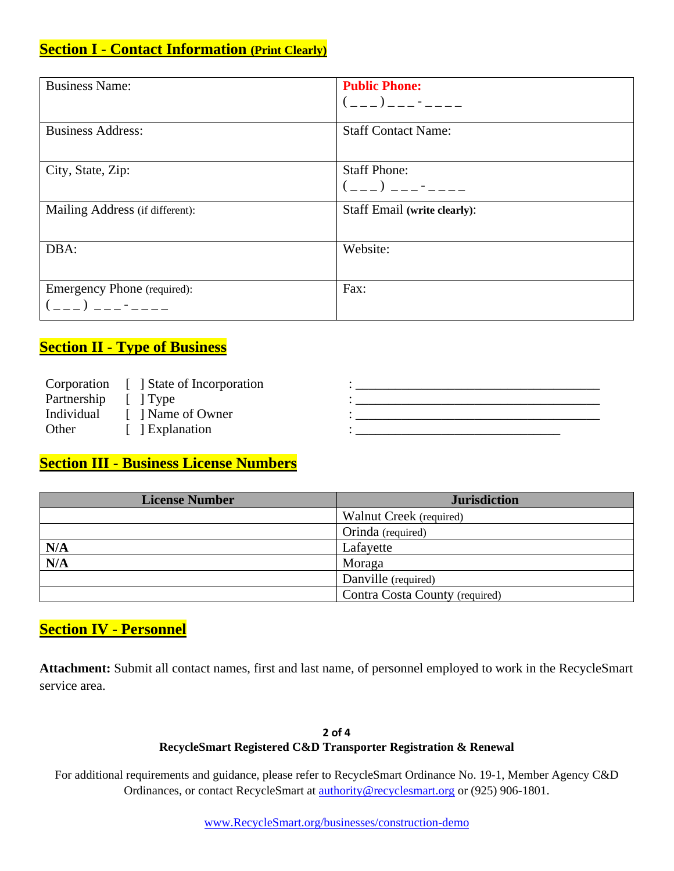## **Section I - Contact Information (Print Clearly)**

| <b>Business Name:</b>           | <b>Public Phone:</b>                        |
|---------------------------------|---------------------------------------------|
|                                 | $(\_ \_ \_ ) \_ \_ \_ \_ \_ \_ \_ \_ \_ \_$ |
| <b>Business Address:</b>        | <b>Staff Contact Name:</b>                  |
|                                 |                                             |
| City, State, Zip:               | <b>Staff Phone:</b>                         |
|                                 | $($ ) $-$                                   |
| Mailing Address (if different): | <b>Staff Email (write clearly):</b>         |
|                                 |                                             |
| DBA:                            | Website:                                    |
|                                 |                                             |
| Emergency Phone (required):     | Fax:                                        |
|                                 |                                             |
|                                 |                                             |

## **Section II - Type of Business**

|                     | Corporation [ ] State of Incorporation |  |
|---------------------|----------------------------------------|--|
| Partnership [] Type |                                        |  |
| Individual          | [ ] Name of Owner                      |  |
| Other               | 1 Explanation                          |  |

## **Section III - Business License Numbers**

| <b>License Number</b>   | <b>Jurisdiction</b>            |  |
|-------------------------|--------------------------------|--|
|                         | Walnut Creek (required)        |  |
|                         | Orinda (required)              |  |
| N/A                     | Lafayette                      |  |
| $\overline{\text{N/A}}$ | Moraga                         |  |
|                         | Danville (required)            |  |
|                         | Contra Costa County (required) |  |

### **Section IV - Personnel**

**Attachment:** Submit all contact names, first and last name, of personnel employed to work in the RecycleSmart service area.

#### **2 of 4 RecycleSmart Registered C&D Transporter Registration & Renewal**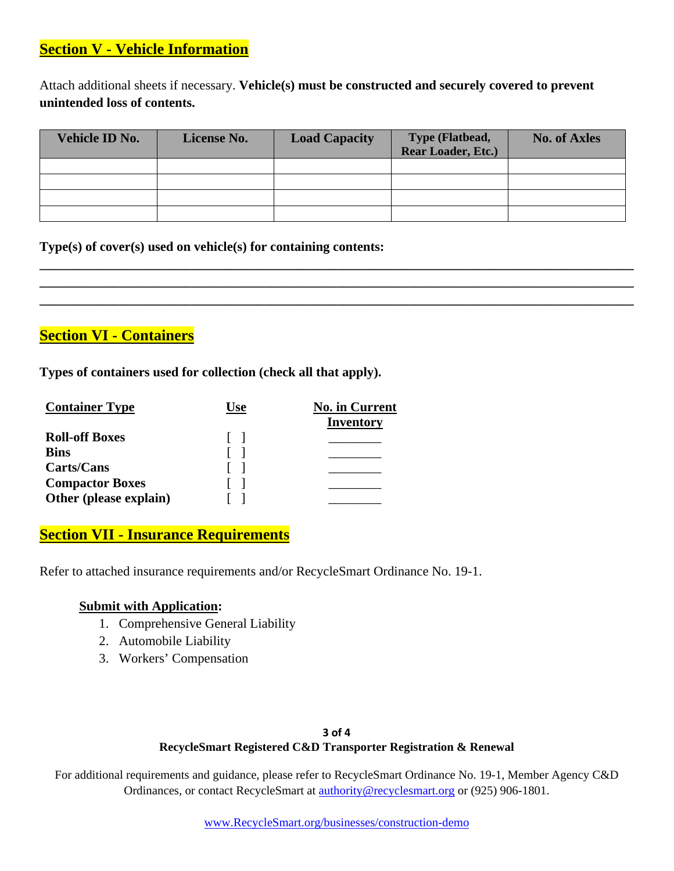### **Section V - Vehicle Information**

Attach additional sheets if necessary. **Vehicle(s) must be constructed and securely covered to prevent unintended loss of contents.**

| <b>Vehicle ID No.</b> | License No. | <b>Load Capacity</b> | <b>Type (Flatbead,</b><br>Rear Loader, Etc.) | <b>No. of Axles</b> |
|-----------------------|-------------|----------------------|----------------------------------------------|---------------------|
|                       |             |                      |                                              |                     |
|                       |             |                      |                                              |                     |
|                       |             |                      |                                              |                     |
|                       |             |                      |                                              |                     |

**\_\_\_\_\_\_\_\_\_\_\_\_\_\_\_\_\_\_\_\_\_\_\_\_\_\_\_\_\_\_\_\_\_\_\_\_\_\_\_\_\_\_\_\_\_\_\_\_\_\_\_\_\_\_\_\_\_\_\_\_\_\_\_\_\_\_\_\_\_\_\_\_\_\_\_\_\_\_\_\_\_\_\_\_\_\_\_\_\_\_ \_\_\_\_\_\_\_\_\_\_\_\_\_\_\_\_\_\_\_\_\_\_\_\_\_\_\_\_\_\_\_\_\_\_\_\_\_\_\_\_\_\_\_\_\_\_\_\_\_\_\_\_\_\_\_\_\_\_\_\_\_\_\_\_\_\_\_\_\_\_\_\_\_\_\_\_\_\_\_\_\_\_\_\_\_\_\_\_\_\_ \_\_\_\_\_\_\_\_\_\_\_\_\_\_\_\_\_\_\_\_\_\_\_\_\_\_\_\_\_\_\_\_\_\_\_\_\_\_\_\_\_\_\_\_\_\_\_\_\_\_\_\_\_\_\_\_\_\_\_\_\_\_\_\_\_\_\_\_\_\_\_\_\_\_\_\_\_\_\_\_\_\_\_\_\_\_\_\_\_\_**

### **Type(s) of cover(s) used on vehicle(s) for containing contents:**

## **Section VI - Containers**

**Types of containers used for collection (check all that apply).** 

| <b>Container Type</b>  | Use | <b>No. in Current</b> |
|------------------------|-----|-----------------------|
|                        |     | <b>Inventory</b>      |
| <b>Roll-off Boxes</b>  |     |                       |
| <b>Bins</b>            |     |                       |
| Carts/Cans             |     |                       |
| <b>Compactor Boxes</b> |     |                       |
| Other (please explain) |     |                       |

### **Section VII - Insurance Requirements**

Refer to attached insurance requirements and/or RecycleSmart Ordinance No. 19-1.

### **Submit with Application:**

- 1. Comprehensive General Liability
- 2. Automobile Liability
- 3. Workers' Compensation

### **3 of 4 RecycleSmart Registered C&D Transporter Registration & Renewal**